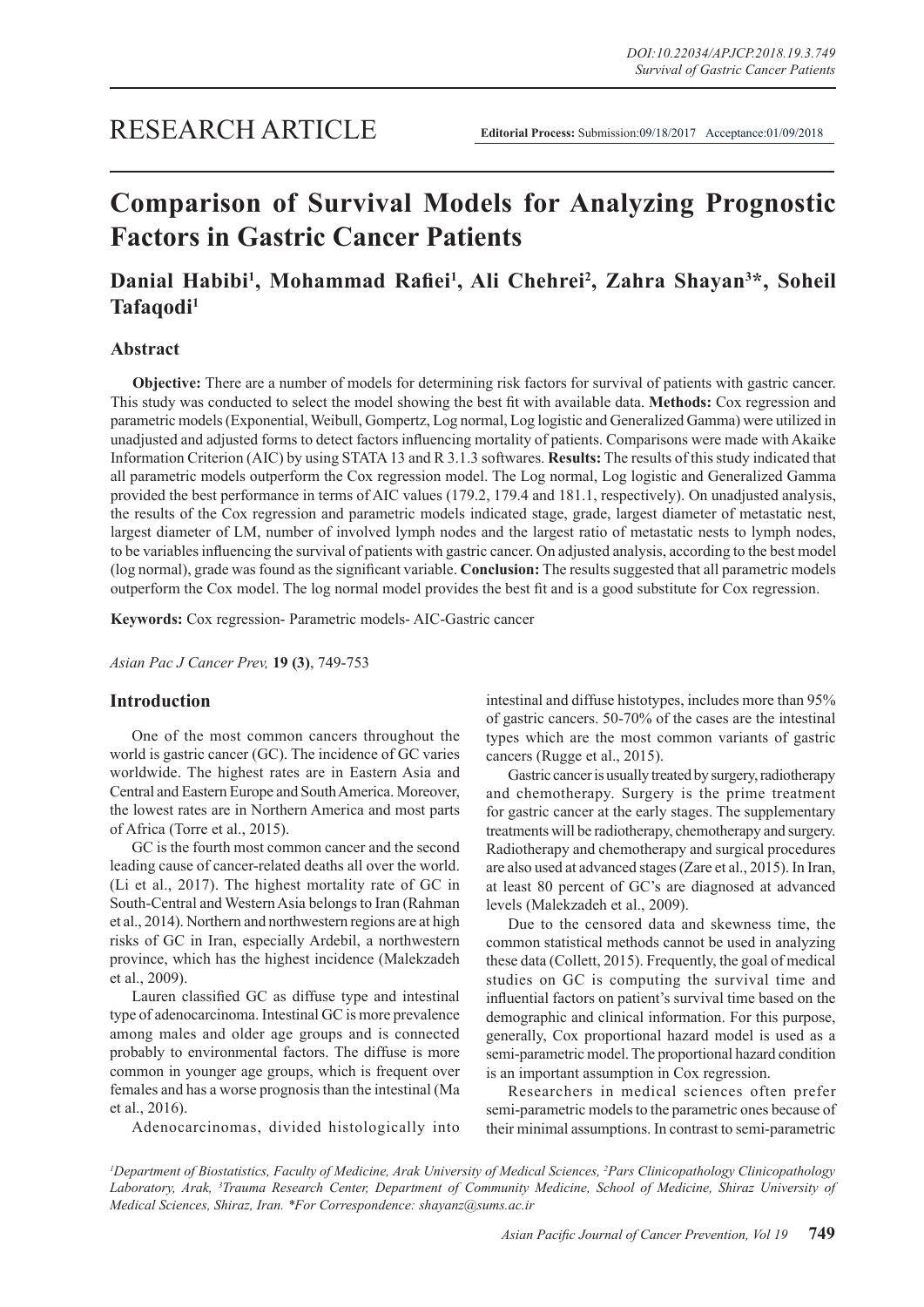## RESEARCH ARTICLE

# **Comparison of Survival Models for Analyzing Prognostic Factors in Gastric Cancer Patients**

## **Danial Habibi1 , Mohammad Rafiei<sup>1</sup> , Ali Chehrei2 , Zahra Shayan3 \*, Soheil Tafaqodi1**

## **Abstract**

**Objective:** There are a number of models for determining risk factors for survival of patients with gastric cancer. This study was conducted to select the model showing the best fit with available data. **Methods:** Cox regression and parametric models (Exponential, Weibull, Gompertz, Log normal, Log logistic and Generalized Gamma) were utilized in unadjusted and adjusted forms to detect factors influencing mortality of patients. Comparisons were made with Akaike Information Criterion (AIC) by using STATA 13 and R 3.1.3 softwares. **Results:** The results of this study indicated that all parametric models outperform the Cox regression model. The Log normal, Log logistic and Generalized Gamma provided the best performance in terms of AIC values (179.2, 179.4 and 181.1, respectively). On unadjusted analysis, the results of the Cox regression and parametric models indicated stage, grade, largest diameter of metastatic nest, largest diameter of LM, number of involved lymph nodes and the largest ratio of metastatic nests to lymph nodes, to be variables influencing the survival of patients with gastric cancer. On adjusted analysis, according to the best model (log normal), grade was found as the significant variable. **Conclusion:** The results suggested that all parametric models outperform the Cox model. The log normal model provides the best fit and is a good substitute for Cox regression.

**Keywords:** Cox regression- Parametric models- AIC-Gastric cancer

*Asian Pac J Cancer Prev,* **19 (3)**, 749-753

### **Introduction**

One of the most common cancers throughout the world is gastric cancer (GC). The incidence of GC varies worldwide. The highest rates are in Eastern Asia and Central and Eastern Europe and South America. Moreover, the lowest rates are in Northern America and most parts of Africa (Torre et al., 2015).

GC is the fourth most common cancer and the second leading cause of cancer-related deaths all over the world. (Li et al., 2017). The highest mortality rate of GC in South-Central and Western Asia belongs to Iran (Rahman et al., 2014). Northern and northwestern regions are at high risks of GC in Iran, especially Ardebil, a northwestern province, which has the highest incidence (Malekzadeh et al., 2009).

Lauren classified GC as diffuse type and intestinal type of adenocarcinoma. Intestinal GC is more prevalence among males and older age groups and is connected probably to environmental factors. The diffuse is more common in younger age groups, which is frequent over females and has a worse prognosis than the intestinal (Ma et al., 2016).

Adenocarcinomas, divided histologically into

intestinal and diffuse histotypes, includes more than 95% of gastric cancers. 50-70% of the cases are the intestinal types which are the most common variants of gastric cancers (Rugge et al., 2015).

Gastric cancer is usually treated by surgery, radiotherapy and chemotherapy. Surgery is the prime treatment for gastric cancer at the early stages. The supplementary treatments will be radiotherapy, chemotherapy and surgery. Radiotherapy and chemotherapy and surgical procedures are also used at advanced stages (Zare et al., 2015). In Iran, at least 80 percent of GC's are diagnosed at advanced levels (Malekzadeh et al., 2009).

Due to the censored data and skewness time, the common statistical methods cannot be used in analyzing these data (Collett, 2015). Frequently, the goal of medical studies on GC is computing the survival time and influential factors on patient's survival time based on the demographic and clinical information. For this purpose, generally, Cox proportional hazard model is used as a semi-parametric model. The proportional hazard condition is an important assumption in Cox regression.

Researchers in medical sciences often prefer semi-parametric models to the parametric ones because of their minimal assumptions. In contrast to semi-parametric

*1 Department of Biostatistics, Faculty of Medicine, Arak University of Medical Sciences, 2 Pars Clinicopathology Clinicopathology Laboratory, Arak, 3 Trauma Research Center, Department of Community Medicine, School of Medicine, Shiraz University of Medical Sciences, Shiraz, Iran. \*For Correspondence: shayanz@sums.ac.ir*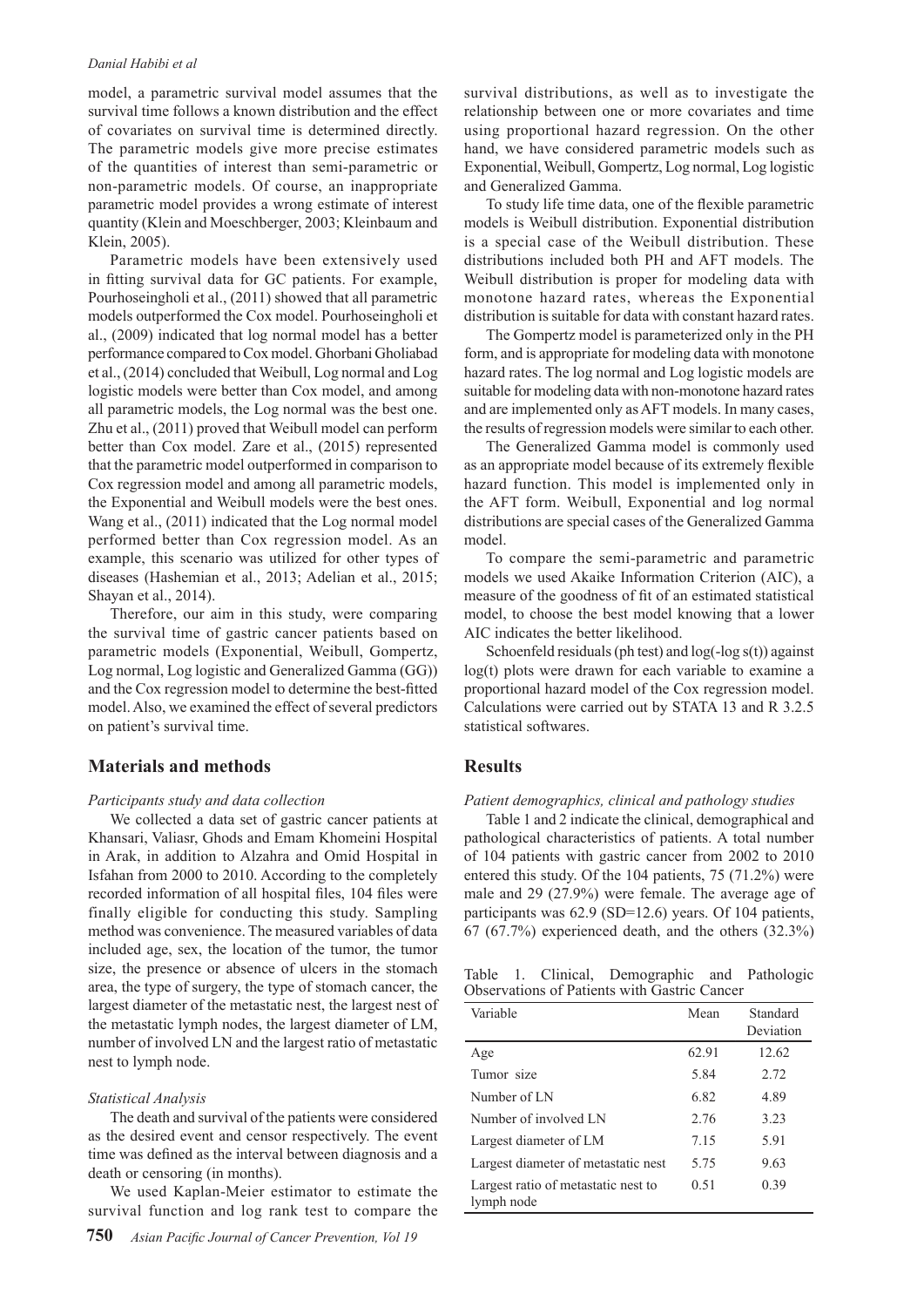#### *Danial Habibi et al*

model, a parametric survival model assumes that the survival time follows a known distribution and the effect of covariates on survival time is determined directly. The parametric models give more precise estimates of the quantities of interest than semi-parametric or non-parametric models. Of course, an inappropriate parametric model provides a wrong estimate of interest quantity (Klein and Moeschberger, 2003; Kleinbaum and Klein, 2005).

Parametric models have been extensively used in fitting survival data for GC patients. For example, Pourhoseingholi et al., (2011) showed that all parametric models outperformed the Cox model. Pourhoseingholi et al., (2009) indicated that log normal model has a better performance compared to Cox model. Ghorbani Gholiabad et al., (2014) concluded that Weibull, Log normal and Log logistic models were better than Cox model, and among all parametric models, the Log normal was the best one. Zhu et al., (2011) proved that Weibull model can perform better than Cox model. Zare et al., (2015) represented that the parametric model outperformed in comparison to Cox regression model and among all parametric models, the Exponential and Weibull models were the best ones. Wang et al., (2011) indicated that the Log normal model performed better than Cox regression model. As an example, this scenario was utilized for other types of diseases (Hashemian et al., 2013; Adelian et al., 2015; Shayan et al., 2014).

Therefore, our aim in this study, were comparing the survival time of gastric cancer patients based on parametric models (Exponential, Weibull, Gompertz, Log normal, Log logistic and Generalized Gamma (GG)) and the Cox regression model to determine the best-fitted model. Also, we examined the effect of several predictors on patient's survival time.

#### **Materials and methods**

#### *Participants study and data collection*

We collected a data set of gastric cancer patients at Khansari, Valiasr, Ghods and Emam Khomeini Hospital in Arak, in addition to Alzahra and Omid Hospital in Isfahan from 2000 to 2010. According to the completely recorded information of all hospital files, 104 files were finally eligible for conducting this study. Sampling method was convenience. The measured variables of data included age, sex, the location of the tumor, the tumor size, the presence or absence of ulcers in the stomach area, the type of surgery, the type of stomach cancer, the largest diameter of the metastatic nest, the largest nest of the metastatic lymph nodes, the largest diameter of LM, number of involved LN and the largest ratio of metastatic nest to lymph node.

#### *Statistical Analysis*

The death and survival of the patients were considered as the desired event and censor respectively. The event time was defined as the interval between diagnosis and a death or censoring (in months).

We used Kaplan-Meier estimator to estimate the survival function and log rank test to compare the

survival distributions, as well as to investigate the relationship between one or more covariates and time using proportional hazard regression. On the other hand, we have considered parametric models such as Exponential, Weibull, Gompertz, Log normal, Log logistic and Generalized Gamma.

To study life time data, one of the flexible parametric models is Weibull distribution. Exponential distribution is a special case of the Weibull distribution. These distributions included both PH and AFT models. The Weibull distribution is proper for modeling data with monotone hazard rates, whereas the Exponential distribution is suitable for data with constant hazard rates.

The Gompertz model is parameterized only in the PH form, and is appropriate for modeling data with monotone hazard rates. The log normal and Log logistic models are suitable for modeling data with non-monotone hazard rates and are implemented only as AFT models. In many cases, the results of regression models were similar to each other.

The Generalized Gamma model is commonly used as an appropriate model because of its extremely flexible hazard function. This model is implemented only in the AFT form. Weibull, Exponential and log normal distributions are special cases of the Generalized Gamma model.

To compare the semi-parametric and parametric models we used Akaike Information Criterion (AIC), a measure of the goodness of fit of an estimated statistical model, to choose the best model knowing that a lower AIC indicates the better likelihood.

Schoenfeld residuals (ph test) and log(-log s(t)) against log(t) plots were drawn for each variable to examine a proportional hazard model of the Cox regression model. Calculations were carried out by STATA 13 and R 3.2.5 statistical softwares.

## **Results**

*Patient demographics, clinical and pathology studies*

Table 1 and 2 indicate the clinical, demographical and pathological characteristics of patients. A total number of 104 patients with gastric cancer from 2002 to 2010 entered this study. Of the 104 patients, 75 (71.2%) were male and 29 (27.9%) were female. The average age of participants was 62.9 (SD=12.6) years. Of 104 patients,  $67 (67.7%)$  experienced death, and the others  $(32.3%)$ 

Table 1. Clinical, Demographic and Pathologic Observations of Patients with Gastric Cancer

| Variable                                          | Mean  | Standard<br>Deviation |
|---------------------------------------------------|-------|-----------------------|
| Age                                               | 62.91 | 12.62                 |
| Tumor size                                        | 5.84  | 2.72                  |
| Number of LN                                      | 682   | 4.89                  |
| Number of involved LN                             | 2.76  | 3.23                  |
| Largest diameter of LM                            | 7 1 5 | 5.91                  |
| Largest diameter of metastatic nest               | 5.75  | 9.63                  |
| Largest ratio of metastatic nest to<br>lymph node | 0.51  | 0.39                  |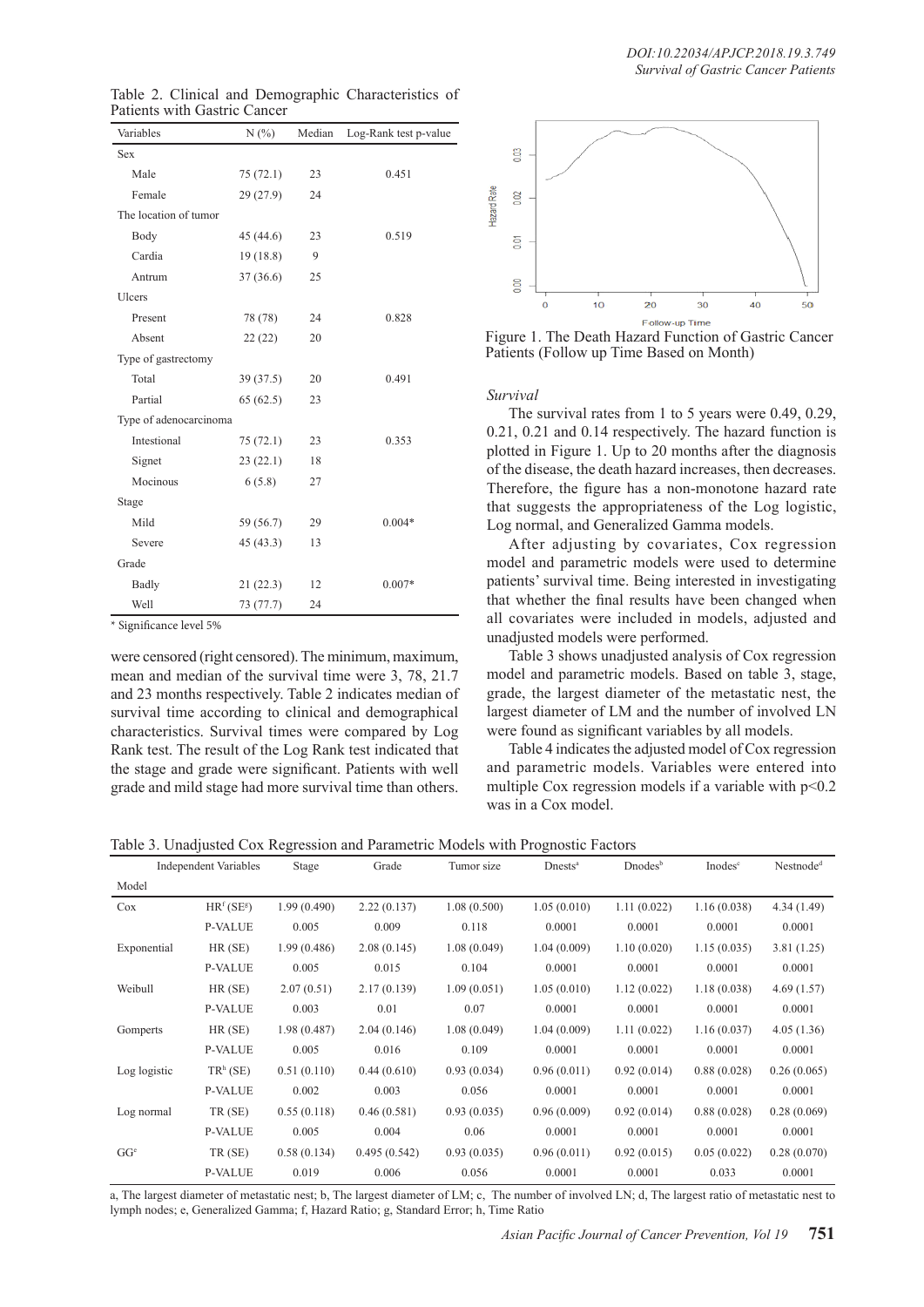| Variables              | N(%)      | Median | Log-Rank test p-value |
|------------------------|-----------|--------|-----------------------|
| <b>Sex</b>             |           |        |                       |
| Male                   | 75(72.1)  | 23     | 0.451                 |
| Female                 | 29(27.9)  | 24     |                       |
| The location of tumor  |           |        |                       |
| Body                   | 45 (44.6) | 23     | 0.519                 |
| Cardia                 | 19(18.8)  | 9      |                       |
| Antrum                 | 37(36.6)  | 25     |                       |
| Ulcers                 |           |        |                       |
| Present                | 78 (78)   | 24     | 0.828                 |
| Absent                 | 22(22)    | 20     |                       |
| Type of gastrectomy    |           |        |                       |
| Total                  | 39(37.5)  | 20     | 0.491                 |
| Partial                | 65(62.5)  | 23     |                       |
| Type of adenocarcinoma |           |        |                       |
| Intestional            | 75(72.1)  | 23     | 0.353                 |
| Signet                 | 23(22.1)  | 18     |                       |
| Mocinous               | 6(5.8)    | 27     |                       |
| Stage                  |           |        |                       |
| Mild                   | 59 (56.7) | 29     | $0.004*$              |
| Severe                 | 45(43.3)  | 13     |                       |
| Grade                  |           |        |                       |
| Badly                  | 21(22.3)  | 12     | $0.007*$              |
| Well                   | 73 (77.7) | 24     |                       |

Table 2. Clinical and Demographic Characteristics of Patients with Gastric Cancer

\* Significance level 5%

were censored (right censored). The minimum, maximum, mean and median of the survival time were 3, 78, 21.7 and 23 months respectively. Table 2 indicates median of survival time according to clinical and demographical characteristics. Survival times were compared by Log Rank test. The result of the Log Rank test indicated that the stage and grade were significant. Patients with well grade and mild stage had more survival time than others.





Figure 1. The Death Hazard Function of Gastric Cancer Patients (Follow up Time Based on Month)

*Survival*

The survival rates from 1 to 5 years were 0.49, 0.29, 0.21, 0.21 and 0.14 respectively. The hazard function is plotted in Figure 1. Up to 20 months after the diagnosis of the disease, the death hazard increases, then decreases. Therefore, the figure has a non-monotone hazard rate that suggests the appropriateness of the Log logistic, Log normal, and Generalized Gamma models.

After adjusting by covariates, Cox regression model and parametric models were used to determine patients' survival time. Being interested in investigating that whether the final results have been changed when all covariates were included in models, adjusted and unadjusted models were performed.

Table 3 shows unadjusted analysis of Cox regression model and parametric models. Based on table 3, stage, grade, the largest diameter of the metastatic nest, the largest diameter of LM and the number of involved LN were found as significant variables by all models.

Table 4 indicates the adjusted model of Cox regression and parametric models. Variables were entered into multiple Cox regression models if a variable with  $p<0.2$ was in a Cox model.

Table 3. Unadjusted Cox Regression and Parametric Models with Prognostic Factors

|                 | <b>Independent Variables</b>       | Stage       | Grade        | Tumor size  | Dnests <sup>a</sup> | Dnodes <sup>b</sup> | Inodes <sup>c</sup> | Nestnode <sup>d</sup> |
|-----------------|------------------------------------|-------------|--------------|-------------|---------------------|---------------------|---------------------|-----------------------|
| Model           |                                    |             |              |             |                     |                     |                     |                       |
| Cox             | HR <sup>f</sup> (SE <sup>g</sup> ) | 1.99(0.490) | 2.22(0.137)  | 1.08(0.500) | 1.05(0.010)         | 1.11(0.022)         | 1.16(0.038)         | 4.34(1.49)            |
|                 | <b>P-VALUE</b>                     | 0.005       | 0.009        | 0.118       | 0.0001              | 0.0001              | 0.0001              | 0.0001                |
| Exponential     | HR(SE)                             | 1.99(0.486) | 2.08(0.145)  | 1.08(0.049) | 1.04(0.009)         | 1.10(0.020)         | 1.15(0.035)         | 3.81(1.25)            |
|                 | <b>P-VALUE</b>                     | 0.005       | 0.015        | 0.104       | 0.0001              | 0.0001              | 0.0001              | 0.0001                |
| Weibull         | HR(SE)                             | 2.07(0.51)  | 2.17(0.139)  | 1.09(0.051) | 1.05(0.010)         | 1.12(0.022)         | 1.18(0.038)         | 4.69(1.57)            |
|                 | <b>P-VALUE</b>                     | 0.003       | 0.01         | 0.07        | 0.0001              | 0.0001              | 0.0001              | 0.0001                |
| Gomperts        | HR(SE)                             | 1.98(0.487) | 2.04(0.146)  | 1.08(0.049) | 1.04(0.009)         | 1.11(0.022)         | 1.16(0.037)         | 4.05(1.36)            |
|                 | <b>P-VALUE</b>                     | 0.005       | 0.016        | 0.109       | 0.0001              | 0.0001              | 0.0001              | 0.0001                |
| Log logistic    | $TRh$ (SE)                         | 0.51(0.110) | 0.44(0.610)  | 0.93(0.034) | 0.96(0.011)         | 0.92(0.014)         | 0.88(0.028)         | 0.26(0.065)           |
|                 | <b>P-VALUE</b>                     | 0.002       | 0.003        | 0.056       | 0.0001              | 0.0001              | 0.0001              | 0.0001                |
| Log normal      | TR (SE)                            | 0.55(0.118) | 0.46(0.581)  | 0.93(0.035) | 0.96(0.009)         | 0.92(0.014)         | 0.88(0.028)         | 0.28(0.069)           |
|                 | <b>P-VALUE</b>                     | 0.005       | 0.004        | 0.06        | 0.0001              | 0.0001              | 0.0001              | 0.0001                |
| GG <sup>e</sup> | TR (SE)                            | 0.58(0.134) | 0.495(0.542) | 0.93(0.035) | 0.96(0.011)         | 0.92(0.015)         | 0.05(0.022)         | 0.28(0.070)           |
|                 | <b>P-VALUE</b>                     | 0.019       | 0.006        | 0.056       | 0.0001              | 0.0001              | 0.033               | 0.0001                |

a, The largest diameter of metastatic nest; b, The largest diameter of LM; c, The number of involved LN; d, The largest ratio of metastatic nest to lymph nodes; e, Generalized Gamma; f, Hazard Ratio; g, Standard Error; h, Time Ratio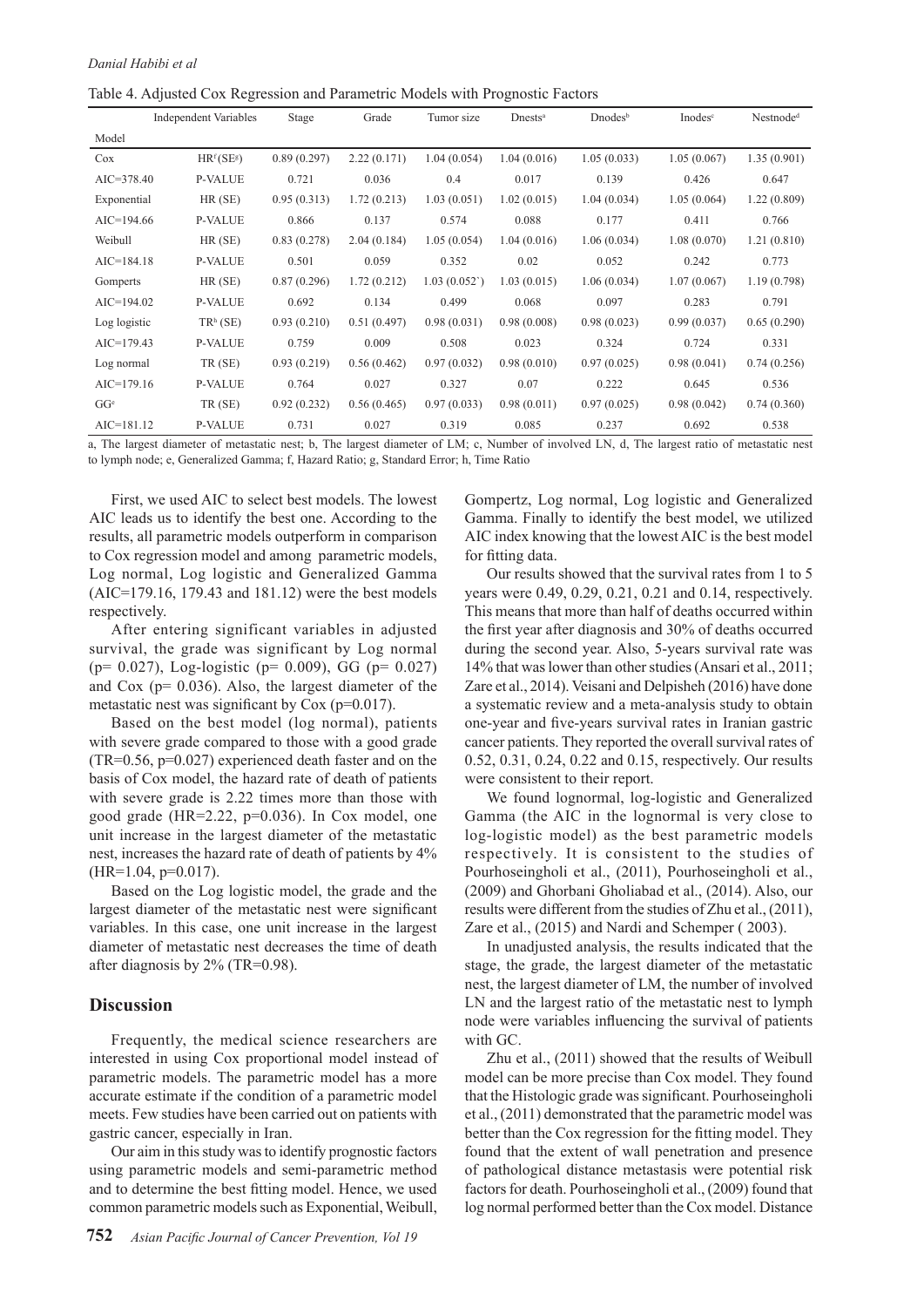Table 4. Adjusted Cox Regression and Parametric Models with Prognostic Factors

|                 | <b>Independent Variables</b>       | Stage       | Grade       | Tumor size  | Dness <sup>a</sup> | $Dnodes^b$  | Inodes <sup>c</sup> | Nestnode <sup>d</sup> |
|-----------------|------------------------------------|-------------|-------------|-------------|--------------------|-------------|---------------------|-----------------------|
| Model           |                                    |             |             |             |                    |             |                     |                       |
| Cox             | HR <sup>f</sup> (SE <sup>g</sup> ) | 0.89(0.297) | 2.22(0.171) | 1.04(0.054) | 1.04(0.016)        | 1.05(0.033) | 1.05(0.067)         | 1.35(0.901)           |
| $AIC = 378.40$  | <b>P-VALUE</b>                     | 0.721       | 0.036       | 0.4         | 0.017              | 0.139       | 0.426               | 0.647                 |
| Exponential     | HR(SE)                             | 0.95(0.313) | 1.72(0.213) | 1.03(0.051) | 1.02(0.015)        | 1.04(0.034) | 1.05(0.064)         | 1.22(0.809)           |
| $AIC=194.66$    | <b>P-VALUE</b>                     | 0.866       | 0.137       | 0.574       | 0.088              | 0.177       | 0.411               | 0.766                 |
| Weibull         | HR(SE)                             | 0.83(0.278) | 2.04(0.184) | 1.05(0.054) | 1.04(0.016)        | 1.06(0.034) | 1.08(0.070)         | 1.21(0.810)           |
| $AIC=184.18$    | <b>P-VALUE</b>                     | 0.501       | 0.059       | 0.352       | 0.02               | 0.052       | 0.242               | 0.773                 |
| Gomperts        | $HR$ (SE)                          | 0.87(0.296) | 1.72(0.212) | 1.03(0.052) | 1.03(0.015)        | 1.06(0.034) | 1.07(0.067)         | 1.19(0.798)           |
| $AIC=194.02$    | <b>P-VALUE</b>                     | 0.692       | 0.134       | 0.499       | 0.068              | 0.097       | 0.283               | 0.791                 |
| Log logistic    | $TRh$ (SE)                         | 0.93(0.210) | 0.51(0.497) | 0.98(0.031) | 0.98(0.008)        | 0.98(0.023) | 0.99(0.037)         | 0.65(0.290)           |
| $AIC=179.43$    | <b>P-VALUE</b>                     | 0.759       | 0.009       | 0.508       | 0.023              | 0.324       | 0.724               | 0.331                 |
| Log normal      | TR (SE)                            | 0.93(0.219) | 0.56(0.462) | 0.97(0.032) | 0.98(0.010)        | 0.97(0.025) | 0.98(0.041)         | 0.74(0.256)           |
| $AIC=179.16$    | <b>P-VALUE</b>                     | 0.764       | 0.027       | 0.327       | 0.07               | 0.222       | 0.645               | 0.536                 |
| GG <sup>e</sup> | TR (SE)                            | 0.92(0.232) | 0.56(0.465) | 0.97(0.033) | 0.98(0.011)        | 0.97(0.025) | 0.98(0.042)         | 0.74(0.360)           |
| $AIC=181.12$    | <b>P-VALUE</b>                     | 0.731       | 0.027       | 0.319       | 0.085              | 0.237       | 0.692               | 0.538                 |

a, The largest diameter of metastatic nest; b, The largest diameter of LM; c, Number of involved LN, d, The largest ratio of metastatic nest to lymph node; e, Generalized Gamma; f, Hazard Ratio; g, Standard Error; h, Time Ratio

First, we used AIC to select best models. The lowest AIC leads us to identify the best one. According to the results, all parametric models outperform in comparison to Cox regression model and among parametric models, Log normal, Log logistic and Generalized Gamma (AIC=179.16, 179.43 and 181.12) were the best models respectively.

After entering significant variables in adjusted survival, the grade was significant by Log normal (p= 0.027), Log-logistic (p= 0.009), GG (p= 0.027) and Cox (p= 0.036). Also, the largest diameter of the metastatic nest was significant by Cox (p=0.017).

Based on the best model (log normal), patients with severe grade compared to those with a good grade (TR=0.56, p=0.027) experienced death faster and on the basis of Cox model, the hazard rate of death of patients with severe grade is 2.22 times more than those with good grade (HR=2.22, p=0.036). In Cox model, one unit increase in the largest diameter of the metastatic nest, increases the hazard rate of death of patients by 4% (HR=1.04, p=0.017).

Based on the Log logistic model, the grade and the largest diameter of the metastatic nest were significant variables. In this case, one unit increase in the largest diameter of metastatic nest decreases the time of death after diagnosis by 2% (TR=0.98).

## **Discussion**

Frequently, the medical science researchers are interested in using Cox proportional model instead of parametric models. The parametric model has a more accurate estimate if the condition of a parametric model meets. Few studies have been carried out on patients with gastric cancer, especially in Iran.

Our aim in this study was to identify prognostic factors using parametric models and semi-parametric method and to determine the best fitting model. Hence, we used common parametric models such as Exponential, Weibull,

Gompertz, Log normal, Log logistic and Generalized Gamma. Finally to identify the best model, we utilized AIC index knowing that the lowest AIC is the best model for fitting data.

Our results showed that the survival rates from 1 to 5 years were 0.49, 0.29, 0.21, 0.21 and 0.14, respectively. This means that more than half of deaths occurred within the first year after diagnosis and 30% of deaths occurred during the second year. Also, 5-years survival rate was 14% that was lower than other studies (Ansari et al., 2011; Zare et al., 2014). Veisani and Delpisheh (2016) have done a systematic review and a meta-analysis study to obtain one-year and five-years survival rates in Iranian gastric cancer patients. They reported the overall survival rates of 0.52, 0.31, 0.24, 0.22 and 0.15, respectively. Our results were consistent to their report.

We found lognormal, log-logistic and Generalized Gamma (the AIC in the lognormal is very close to log-logistic model) as the best parametric models respectively. It is consistent to the studies of Pourhoseingholi et al., (2011), Pourhoseingholi et al., (2009) and Ghorbani Gholiabad et al., (2014). Also, our results were different from the studies of Zhu et al., (2011), Zare et al., (2015) and Nardi and Schemper ( 2003).

In unadjusted analysis, the results indicated that the stage, the grade, the largest diameter of the metastatic nest, the largest diameter of LM, the number of involved LN and the largest ratio of the metastatic nest to lymph node were variables influencing the survival of patients with GC.

Zhu et al., (2011) showed that the results of Weibull model can be more precise than Cox model. They found that the Histologic grade was significant. Pourhoseingholi et al., (2011) demonstrated that the parametric model was better than the Cox regression for the fitting model. They found that the extent of wall penetration and presence of pathological distance metastasis were potential risk factors for death. Pourhoseingholi et al., (2009) found that log normal performed better than the Cox model. Distance